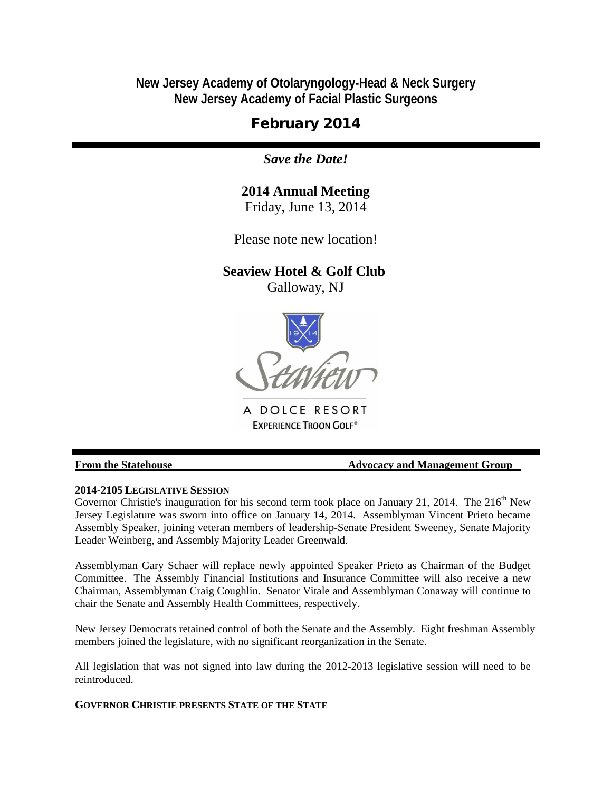**New Jersey Academy of Otolaryngology-Head & Neck Surgery New Jersey Academy of Facial Plastic Surgeons**

# February 2014

*Save the Date!*

# **2014 Annual Meeting**

Friday, June 13, 2014

Please note new location!

## **Seaview Hotel & Golf Club**

Galloway, NJ



A DOLCE RESORT **EXPERIENCE TROON GOLF®** 

## **From the Statehouse Theorem 2008 Control Advocacy and Management Group**

## **2014-2105 LEGISLATIVE SESSION**

Governor Christie's inauguration for his second term took place on January 21, 2014. The  $216<sup>th</sup>$  New Jersey Legislature was sworn into office on January 14, 2014. Assemblyman Vincent Prieto became Assembly Speaker, joining veteran members of leadership-Senate President Sweeney, Senate Majority Leader Weinberg, and Assembly Majority Leader Greenwald.

Assemblyman Gary Schaer will replace newly appointed Speaker Prieto as Chairman of the Budget Committee. The Assembly Financial Institutions and Insurance Committee will also receive a new Chairman, Assemblyman Craig Coughlin. Senator Vitale and Assemblyman Conaway will continue to chair the Senate and Assembly Health Committees, respectively.

New Jersey Democrats retained control of both the Senate and the Assembly. Eight freshman Assembly members joined the legislature, with no significant reorganization in the Senate.

All legislation that was not signed into law during the 2012-2013 legislative session will need to be reintroduced.

**GOVERNOR CHRISTIE PRESENTS STATE OF THE STATE**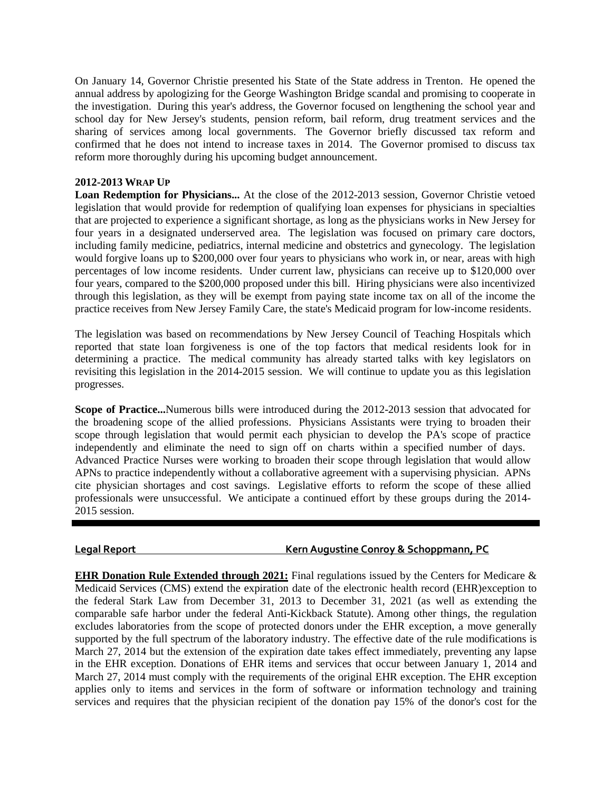On January 14, Governor Christie presented his State of the State address in Trenton. He opened the annual address by apologizing for the George Washington Bridge scandal and promising to cooperate in the investigation. During this year's address, the Governor focused on lengthening the school year and school day for New Jersey's students, pension reform, bail reform, drug treatment services and the sharing of services among local governments. The Governor briefly discussed tax reform and confirmed that he does not intend to increase taxes in 2014. The Governor promised to discuss tax reform more thoroughly during his upcoming budget announcement.

#### **2012-2013 WRAP UP**

**Loan Redemption for Physicians...** At the close of the 2012-2013 session, Governor Christie vetoed legislation that would provide for redemption of qualifying loan expenses for physicians in specialties that are projected to experience a significant shortage, as long as the physicians works in New Jersey for four years in a designated underserved area. The legislation was focused on primary care doctors, including family medicine, pediatrics, internal medicine and obstetrics and gynecology. The legislation would forgive loans up to \$200,000 over four years to physicians who work in, or near, areas with high percentages of low income residents. Under current law, physicians can receive up to \$120,000 over four years, compared to the \$200,000 proposed under this bill. Hiring physicians were also incentivized through this legislation, as they will be exempt from paying state income tax on all of the income the practice receives from New Jersey Family Care, the state's Medicaid program for low-income residents.

The legislation was based on recommendations by New Jersey Council of Teaching Hospitals which reported that state loan forgiveness is one of the top factors that medical residents look for in determining a practice. The medical community has already started talks with key legislators on revisiting this legislation in the 2014-2015 session. We will continue to update you as this legislation progresses.

**Scope of Practice...**Numerous bills were introduced during the 2012-2013 session that advocated for the broadening scope of the allied professions. Physicians Assistants were trying to broaden their scope through legislation that would permit each physician to develop the PA's scope of practice independently and eliminate the need to sign off on charts within a specified number of days. Advanced Practice Nurses were working to broaden their scope through legislation that would allow APNs to practice independently without a collaborative agreement with a supervising physician. APNs cite physician shortages and cost savings. Legislative efforts to reform the scope of these allied professionals were unsuccessful. We anticipate a continued effort by these groups during the 2014- 2015 session.

## **Legal Report Kern Augustine Conroy & Schoppmann, PC**

**EHR Donation Rule Extended through 2021:** Final regulations issued by the Centers for Medicare & Medicaid Services (CMS) extend the expiration date of the electronic health record (EHR)exception to the federal Stark Law from December 31, 2013 to December 31, 2021 (as well as extending the comparable safe harbor under the federal Anti-Kickback Statute). Among other things, the regulation excludes laboratories from the scope of protected donors under the EHR exception, a move generally supported by the full spectrum of the laboratory industry. The effective date of the rule modifications is March 27, 2014 but the extension of the expiration date takes effect immediately, preventing any lapse in the EHR exception. Donations of EHR items and services that occur between January 1, 2014 and March 27, 2014 must comply with the requirements of the original EHR exception. The EHR exception applies only to items and services in the form of software or information technology and training services and requires that the physician recipient of the donation pay 15% of the donor's cost for the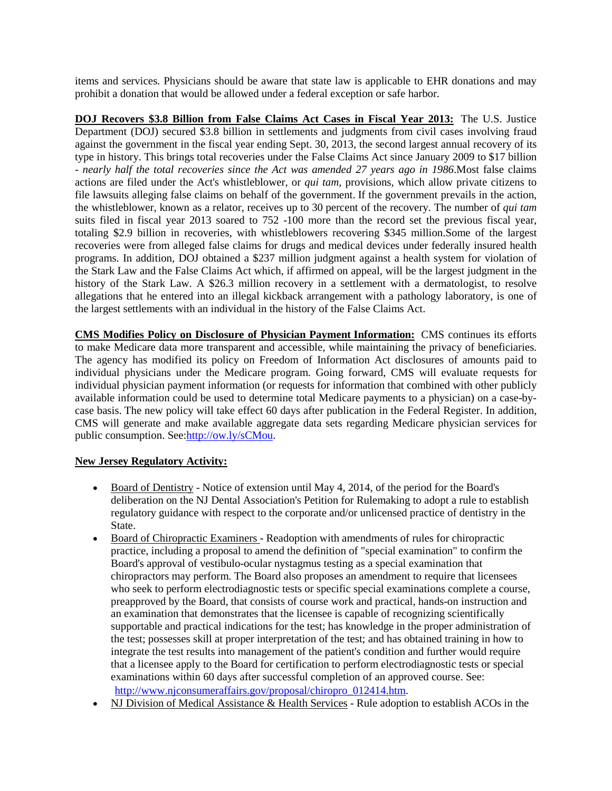items and services. Physicians should be aware that state law is applicable to EHR donations and may prohibit a donation that would be allowed under a federal exception or safe harbor.

**DOJ Recovers \$3.8 Billion from False Claims Act Cases in Fiscal Year 2013:** The U.S. Justice Department (DOJ) secured \$3.8 billion in settlements and judgments from civil cases involving fraud against the government in the fiscal year ending Sept. 30, 2013, the second largest annual recovery of its type in history. This brings total recoveries under the False Claims Act since January 2009 to \$17 billion - *nearly half the total recoveries since the Act was amended 27 years ago in 1986*.Most false claims actions are filed under the Act's whistleblower, or *qui tam*, provisions, which allow private citizens to file lawsuits alleging false claims on behalf of the government. If the government prevails in the action, the whistleblower, known as a relator, receives up to 30 percent of the recovery. The number of *qui tam* suits filed in fiscal year 2013 soared to 752 -100 more than the record set the previous fiscal year, totaling \$2.9 billion in recoveries, with whistleblowers recovering \$345 million.Some of the largest recoveries were from alleged false claims for drugs and medical devices under federally insured health programs. In addition, DOJ obtained a \$237 million judgment against a health system for violation of the Stark Law and the False Claims Act which, if affirmed on appeal, will be the largest judgment in the history of the Stark Law. A \$26.3 million recovery in a settlement with a dermatologist, to resolve allegations that he entered into an illegal kickback arrangement with a pathology laboratory, is one of the largest settlements with an individual in the history of the False Claims Act.

**CMS Modifies Policy on Disclosure of Physician Payment Information:** CMS continues its efforts to make Medicare data more transparent and accessible, while maintaining the privacy of beneficiaries. The agency has modified its policy on Freedom of Information Act disclosures of amounts paid to individual physicians under the Medicare program. Going forward, CMS will evaluate requests for individual physician payment information (or requests for information that combined with other publicly available information could be used to determine total Medicare payments to a physician) on a case-bycase basis. The new policy will take effect 60 days after publication in the Federal Register. In addition, CMS will generate and make available aggregate data sets regarding Medicare physician services for public consumption. See[:http://ow.ly/sCMou.](http://r20.rs6.net/tn.jsp?f=001b8HNry6FjwqpDkUg_agxSYQszGqmaQiVs8KsPR-VazPueohu5kwNuwW9A8dQx9_FRUXE0kZXpwCGxU6iFqPo0QJxCC4eolYS5FcmbRQ29OKRLnHiW87Aq8Z1HNFN9GuG0G8Op4lLql4xUyYUHL4jUJ6dT1YuB41Tt8avZHuK-Kc=&c=scJhfi7tbhVlzsKdpL0FhVerHAvtPfdg88Au4FWbSki5vnBcZd61wQ==&ch=TxKMJm_xFawkiEZI-b_NL4du7pedo4cflm1DV0igiLBwOKkTNVRH4w==)

#### **New Jersey Regulatory Activity:**

- Board of Dentistry Notice of extension until May 4, 2014, of the period for the Board's deliberation on the NJ Dental Association's Petition for Rulemaking to adopt a rule to establish regulatory guidance with respect to the corporate and/or unlicensed practice of dentistry in the State.
- Board of Chiropractic Examiners Readoption with amendments of rules for chiropractic practice, including a proposal to amend the definition of "special examination" to confirm the Board's approval of vestibulo-ocular nystagmus testing as a special examination that chiropractors may perform. The Board also proposes an amendment to require that licensees who seek to perform electrodiagnostic tests or specific special examinations complete a course, preapproved by the Board, that consists of course work and practical, hands-on instruction and an examination that demonstrates that the licensee is capable of recognizing scientifically supportable and practical indications for the test; has knowledge in the proper administration of the test; possesses skill at proper interpretation of the test; and has obtained training in how to integrate the test results into management of the patient's condition and further would require that a licensee apply to the Board for certification to perform electrodiagnostic tests or special examinations within 60 days after successful completion of an approved course. See: [http://www.njconsumeraffairs.gov/proposal/chiropro\\_012414.htm.](http://r20.rs6.net/tn.jsp?f=001b8HNry6FjwqpDkUg_agxSYQszGqmaQiVs8KsPR-VazPueohu5kwNuwW9A8dQx9_FbO5y8qcLeqtAga6ADBH-Que6shLnqh4De3GFy1FKd4Hoes-lwkIUkEp6T5niYqkMNzysuEzgyN0Zl66sawguTBOGMigcUyYMxam4fa8VzXijtOzuausBJBpufK52UGiXnoYi7E7r9ZQw_Hnf68BzPreexTzHD9jG&c=scJhfi7tbhVlzsKdpL0FhVerHAvtPfdg88Au4FWbSki5vnBcZd61wQ==&ch=TxKMJm_xFawkiEZI-b_NL4du7pedo4cflm1DV0igiLBwOKkTNVRH4w==)
- NJ Division of Medical Assistance & Health Services Rule adoption to establish ACOs in the